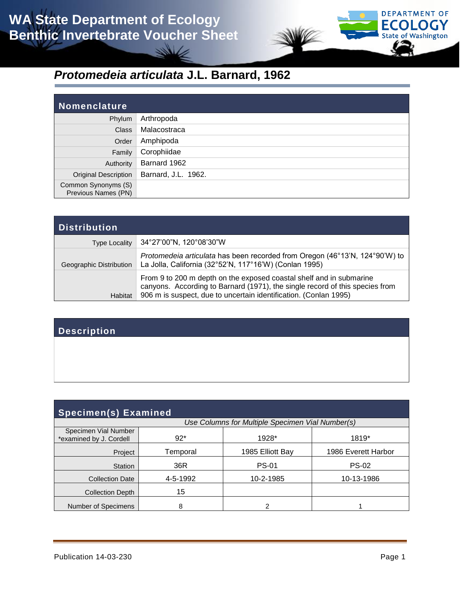

# *Protomedeia articulata* **J.L. Barnard, 1962**

| <b>Nomenclature</b>                        |                     |
|--------------------------------------------|---------------------|
| Phylum                                     | Arthropoda          |
| <b>Class</b>                               | Malacostraca        |
| Order                                      | Amphipoda           |
| Family                                     | Corophiidae         |
| Authority                                  | Barnard 1962        |
| <b>Original Description</b>                | Barnard, J.L. 1962. |
| Common Synonyms (S)<br>Previous Names (PN) |                     |

| <b>Distribution</b>     |                                                                                                                                                                                                                         |
|-------------------------|-------------------------------------------------------------------------------------------------------------------------------------------------------------------------------------------------------------------------|
| <b>Type Locality</b>    | 34°27'00"N, 120°08'30"W                                                                                                                                                                                                 |
| Geographic Distribution | Protomedeia articulata has been recorded from Oregon (46°13'N, 124°90'W) to<br>La Jolla, California (32°52'N, 117°16'W) (Conlan 1995)                                                                                   |
| <b>Habitat</b>          | From 9 to 200 m depth on the exposed coastal shelf and in submarine<br>canyons. According to Barnard (1971), the single record of this species from<br>906 m is suspect, due to uncertain identification. (Conlan 1995) |

### **Description**

| <b>Specimen(s) Examined</b>                     |                                                  |                  |                     |  |  |  |
|-------------------------------------------------|--------------------------------------------------|------------------|---------------------|--|--|--|
|                                                 | Use Columns for Multiple Specimen Vial Number(s) |                  |                     |  |  |  |
| Specimen Vial Number<br>*examined by J. Cordell | $92*$                                            | 1928*            | 1819*               |  |  |  |
| Project                                         | Temporal                                         | 1985 Elliott Bay | 1986 Everett Harbor |  |  |  |
| <b>Station</b>                                  | 36R                                              | <b>PS-01</b>     | <b>PS-02</b>        |  |  |  |
| <b>Collection Date</b>                          | 4-5-1992                                         | 10-2-1985        | 10-13-1986          |  |  |  |
| <b>Collection Depth</b>                         | 15                                               |                  |                     |  |  |  |
| Number of Specimens                             | 8                                                |                  |                     |  |  |  |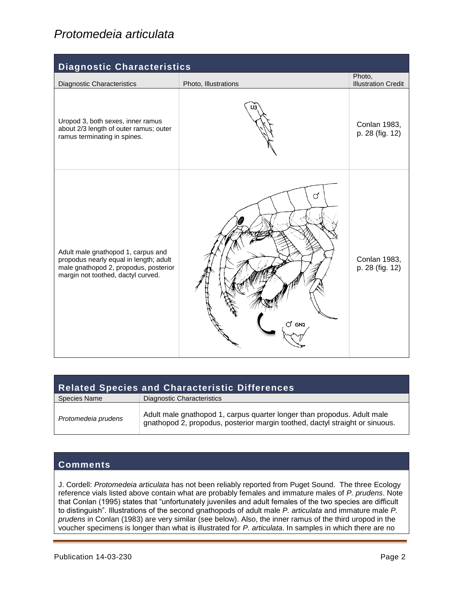## *Protomedeia articulata*

| <b>Diagnostic Characteristics</b>                                                                                                                           |                      |                                      |  |  |  |
|-------------------------------------------------------------------------------------------------------------------------------------------------------------|----------------------|--------------------------------------|--|--|--|
| <b>Diagnostic Characteristics</b>                                                                                                                           | Photo, Illustrations | Photo,<br><b>Illustration Credit</b> |  |  |  |
| Uropod 3, both sexes, inner ramus<br>about 2/3 length of outer ramus; outer<br>ramus terminating in spines.                                                 |                      | Conlan 1983,<br>p. 28 (fig. 12)      |  |  |  |
| Adult male gnathopod 1, carpus and<br>propodus nearly equal in length; adult<br>male gnathopod 2, propodus, posterior<br>margin not toothed, dactyl curved. | đ<br>S GN2           | Conlan 1983,<br>p. 28 (fig. 12)      |  |  |  |

| <b>Related Species and Characteristic Differences</b> |                                                                                                                                                         |  |  |
|-------------------------------------------------------|---------------------------------------------------------------------------------------------------------------------------------------------------------|--|--|
| <b>Species Name</b>                                   | Diagnostic Characteristics                                                                                                                              |  |  |
| Protomedeia prudens                                   | Adult male gnathopod 1, carpus quarter longer than propodus. Adult male<br>gnathopod 2, propodus, posterior margin toothed, dactyl straight or sinuous. |  |  |

#### **Comments**

J. Cordell: *Protomedeia articulata* has not been reliably reported from Puget Sound. The three Ecology reference vials listed above contain what are probably females and immature males of *P. prudens*. Note that Conlan (1995) states that "unfortunately juveniles and adult females of the two species are difficult to distinguish". Illustrations of the second gnathopods of adult male *P. articulata* and immature male *P. prudens* in Conlan (1983) are very similar (see below). Also, the inner ramus of the third uropod in the voucher specimens is longer than what is illustrated for *P. articulata*. In samples in which there are no